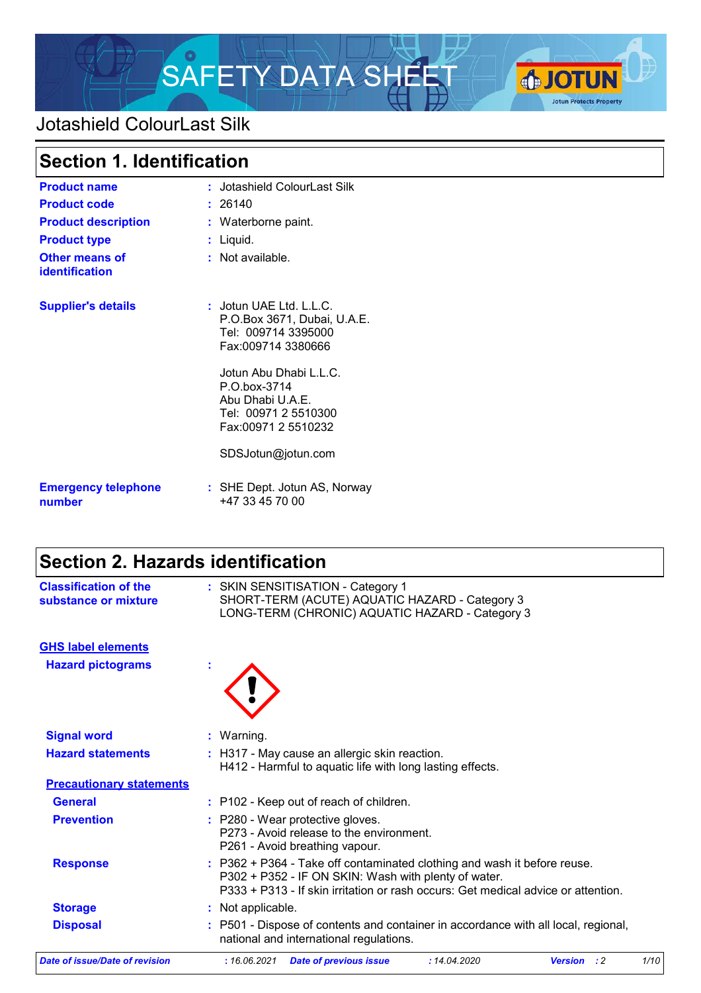

## Jotashield ColourLast Silk

| <b>Section 1. Identification</b>               |                                                                                                                                                                                                                                        |
|------------------------------------------------|----------------------------------------------------------------------------------------------------------------------------------------------------------------------------------------------------------------------------------------|
| <b>Product name</b>                            | : Jotashield ColourLast Silk                                                                                                                                                                                                           |
| <b>Product code</b>                            | : 26140                                                                                                                                                                                                                                |
| <b>Product description</b>                     | : Waterborne paint.                                                                                                                                                                                                                    |
| <b>Product type</b>                            | $:$ Liquid.                                                                                                                                                                                                                            |
| <b>Other means of</b><br><b>identification</b> | : Not available.                                                                                                                                                                                                                       |
| <b>Supplier's details</b>                      | : Jotun UAE Ltd. L.L.C.<br>P.O.Box 3671, Dubai, U.A.E.<br>Tel: 009714 3395000<br>Fax:009714 3380666<br>Jotun Abu Dhabi L.L.C.<br>P.O.box-3714<br>Abu Dhabi U.A.E.<br>Tel: 00971 2 5510300<br>Fax:00971 2 5510232<br>SDSJotun@jotun.com |
| <b>Emergency telephone</b><br>number           | : SHE Dept. Jotun AS, Norway<br>+47 33 45 70 00                                                                                                                                                                                        |

## **Section 2. Hazards identification**

| <b>Classification of the</b><br>substance or mixture |   | : SKIN SENSITISATION - Category 1<br>SHORT-TERM (ACUTE) AQUATIC HAZARD - Category 3<br>LONG-TERM (CHRONIC) AQUATIC HAZARD - Category 3                                                                                |      |
|------------------------------------------------------|---|-----------------------------------------------------------------------------------------------------------------------------------------------------------------------------------------------------------------------|------|
| <b>GHS label elements</b>                            |   |                                                                                                                                                                                                                       |      |
| <b>Hazard pictograms</b>                             | t |                                                                                                                                                                                                                       |      |
| <b>Signal word</b>                                   |   | : Warning.                                                                                                                                                                                                            |      |
| <b>Hazard statements</b>                             |   | : H317 - May cause an allergic skin reaction.<br>H412 - Harmful to aquatic life with long lasting effects.                                                                                                            |      |
| <b>Precautionary statements</b>                      |   |                                                                                                                                                                                                                       |      |
| <b>General</b>                                       |   | : P102 - Keep out of reach of children.                                                                                                                                                                               |      |
| <b>Prevention</b>                                    |   | : P280 - Wear protective gloves.<br>P273 - Avoid release to the environment.<br>P261 - Avoid breathing vapour.                                                                                                        |      |
| <b>Response</b>                                      |   | : P362 + P364 - Take off contaminated clothing and wash it before reuse.<br>P302 + P352 - IF ON SKIN: Wash with plenty of water.<br>P333 + P313 - If skin irritation or rash occurs: Get medical advice or attention. |      |
| <b>Storage</b>                                       |   | : Not applicable.                                                                                                                                                                                                     |      |
| <b>Disposal</b>                                      |   | P501 - Dispose of contents and container in accordance with all local, regional,<br>national and international regulations.                                                                                           |      |
| <b>Date of issue/Date of revision</b>                |   | :16.06.2021<br>: 14.04.2020<br><b>Date of previous issue</b><br><b>Version</b><br>$\cdot$ : 2                                                                                                                         | 1/10 |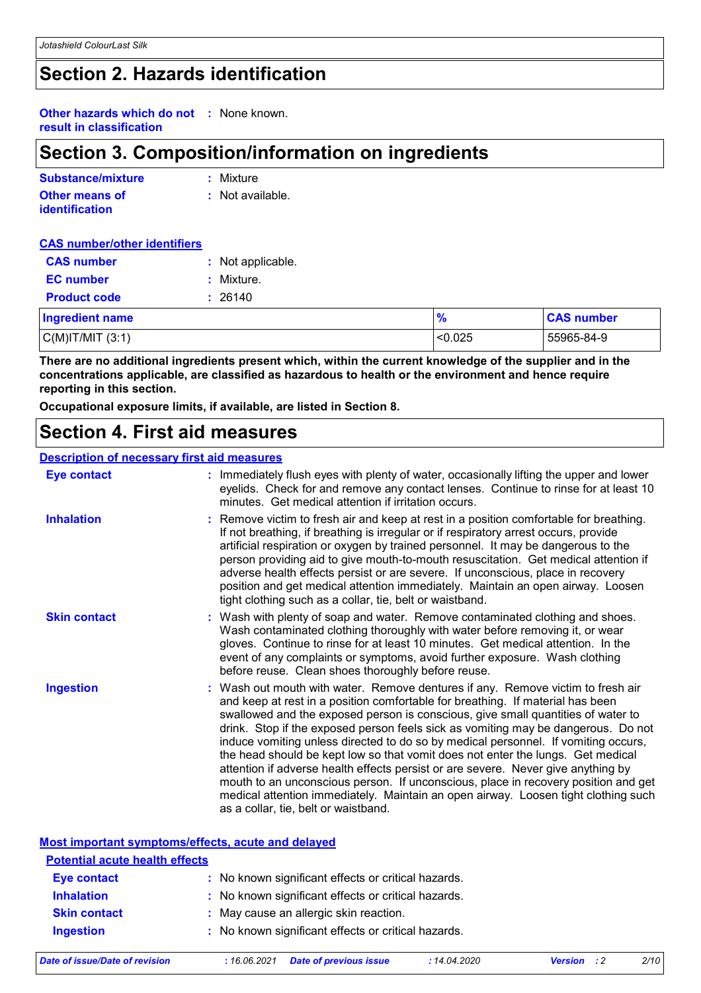### **Section 2. Hazards identification**

**Other hazards which do not :** None known. **result in classification**

### **Section 3. Composition/information on ingredients**

| Substance/mixture     | : Mixture        |
|-----------------------|------------------|
| <b>Other means of</b> | : Not available. |
| <b>identification</b> |                  |

#### **CAS number/other identifiers**

| <b>CAS number</b>      | : Not applicable. |               |                   |
|------------------------|-------------------|---------------|-------------------|
| <b>EC</b> number       | Mixture.          |               |                   |
| <b>Product code</b>    | 26140             |               |                   |
| <b>Ingredient name</b> |                   | $\frac{9}{6}$ | <b>CAS number</b> |
| $C(M)$ IT/MIT $(3:1)$  |                   | < 0.025       | 55965-84-9        |

**There are no additional ingredients present which, within the current knowledge of the supplier and in the concentrations applicable, are classified as hazardous to health or the environment and hence require reporting in this section.**

**Occupational exposure limits, if available, are listed in Section 8.**

### **Section 4. First aid measures**

#### **Description of necessary first aid measures**

| <b>Eye contact</b>  | : Immediately flush eyes with plenty of water, occasionally lifting the upper and lower<br>eyelids. Check for and remove any contact lenses. Continue to rinse for at least 10<br>minutes. Get medical attention if irritation occurs.                                                                                                                                                                                                                                                                                                                                                                                                                                                                                                                                                                                       |
|---------------------|------------------------------------------------------------------------------------------------------------------------------------------------------------------------------------------------------------------------------------------------------------------------------------------------------------------------------------------------------------------------------------------------------------------------------------------------------------------------------------------------------------------------------------------------------------------------------------------------------------------------------------------------------------------------------------------------------------------------------------------------------------------------------------------------------------------------------|
| <b>Inhalation</b>   | : Remove victim to fresh air and keep at rest in a position comfortable for breathing.<br>If not breathing, if breathing is irregular or if respiratory arrest occurs, provide<br>artificial respiration or oxygen by trained personnel. It may be dangerous to the<br>person providing aid to give mouth-to-mouth resuscitation. Get medical attention if<br>adverse health effects persist or are severe. If unconscious, place in recovery<br>position and get medical attention immediately. Maintain an open airway. Loosen<br>tight clothing such as a collar, tie, belt or waistband.                                                                                                                                                                                                                                 |
| <b>Skin contact</b> | : Wash with plenty of soap and water. Remove contaminated clothing and shoes.<br>Wash contaminated clothing thoroughly with water before removing it, or wear<br>gloves. Continue to rinse for at least 10 minutes. Get medical attention. In the<br>event of any complaints or symptoms, avoid further exposure. Wash clothing<br>before reuse. Clean shoes thoroughly before reuse.                                                                                                                                                                                                                                                                                                                                                                                                                                        |
| <b>Ingestion</b>    | : Wash out mouth with water. Remove dentures if any. Remove victim to fresh air<br>and keep at rest in a position comfortable for breathing. If material has been<br>swallowed and the exposed person is conscious, give small quantities of water to<br>drink. Stop if the exposed person feels sick as vomiting may be dangerous. Do not<br>induce vomiting unless directed to do so by medical personnel. If vomiting occurs,<br>the head should be kept low so that vomit does not enter the lungs. Get medical<br>attention if adverse health effects persist or are severe. Never give anything by<br>mouth to an unconscious person. If unconscious, place in recovery position and get<br>medical attention immediately. Maintain an open airway. Loosen tight clothing such<br>as a collar, tie, belt or waistband. |

#### **Most important symptoms/effects, acute and delayed**

| <b>Potential acute health effects</b> |                                                     |
|---------------------------------------|-----------------------------------------------------|
| <b>Eye contact</b>                    | : No known significant effects or critical hazards. |
| <b>Inhalation</b>                     | : No known significant effects or critical hazards. |
| <b>Skin contact</b>                   | : May cause an allergic skin reaction.              |
| <b>Ingestion</b>                      | : No known significant effects or critical hazards. |
|                                       |                                                     |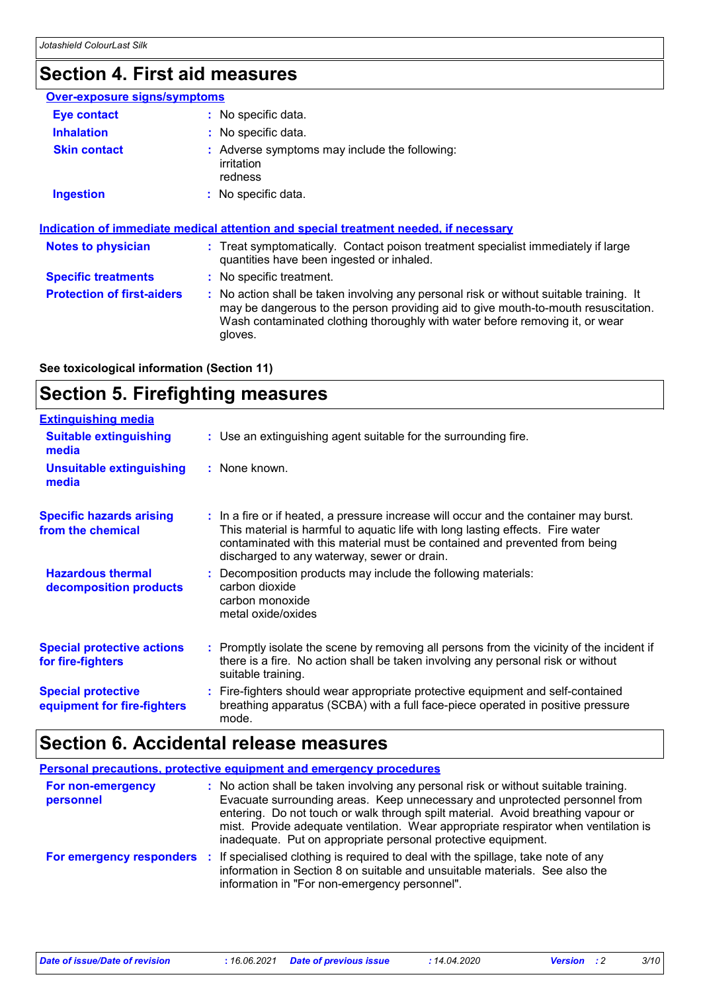# **Section 4. First aid measures**

| Over-exposure signs/symptoms      |                                                                                                                                                                                                                                                                          |
|-----------------------------------|--------------------------------------------------------------------------------------------------------------------------------------------------------------------------------------------------------------------------------------------------------------------------|
| Eye contact                       | $:$ No specific data.                                                                                                                                                                                                                                                    |
| <b>Inhalation</b>                 | : No specific data.                                                                                                                                                                                                                                                      |
| <b>Skin contact</b>               | : Adverse symptoms may include the following:<br><i>irritation</i><br>redness                                                                                                                                                                                            |
| <b>Ingestion</b>                  | : No specific data.                                                                                                                                                                                                                                                      |
| <b>Notes to physician</b>         | <u>Indication of immediate medical attention and special treatment needed, if necessary</u><br>: Treat symptomatically. Contact poison treatment specialist immediately if large<br>quantities have been ingested or inhaled.                                            |
| <b>Specific treatments</b>        | : No specific treatment.                                                                                                                                                                                                                                                 |
| <b>Protection of first-aiders</b> | : No action shall be taken involving any personal risk or without suitable training. It<br>may be dangerous to the person providing aid to give mouth-to-mouth resuscitation.<br>Wash contaminated clothing thoroughly with water before removing it, or wear<br>gloves. |

**See toxicological information (Section 11)**

# **Section 5. Firefighting measures**

| <b>Extinguishing media</b>                               |                                                                                                                                                                                                                                                                                                      |
|----------------------------------------------------------|------------------------------------------------------------------------------------------------------------------------------------------------------------------------------------------------------------------------------------------------------------------------------------------------------|
| <b>Suitable extinguishing</b><br>media                   | : Use an extinguishing agent suitable for the surrounding fire.                                                                                                                                                                                                                                      |
| <b>Unsuitable extinguishing</b><br>media                 | : None known.                                                                                                                                                                                                                                                                                        |
| <b>Specific hazards arising</b><br>from the chemical     | : In a fire or if heated, a pressure increase will occur and the container may burst.<br>This material is harmful to aquatic life with long lasting effects. Fire water<br>contaminated with this material must be contained and prevented from being<br>discharged to any waterway, sewer or drain. |
| <b>Hazardous thermal</b><br>decomposition products       | : Decomposition products may include the following materials:<br>carbon dioxide<br>carbon monoxide<br>metal oxide/oxides                                                                                                                                                                             |
| <b>Special protective actions</b><br>for fire-fighters   | : Promptly isolate the scene by removing all persons from the vicinity of the incident if<br>there is a fire. No action shall be taken involving any personal risk or without<br>suitable training.                                                                                                  |
| <b>Special protective</b><br>equipment for fire-fighters | : Fire-fighters should wear appropriate protective equipment and self-contained<br>breathing apparatus (SCBA) with a full face-piece operated in positive pressure<br>mode.                                                                                                                          |

## **Section 6. Accidental release measures**

|                                | <b>Personal precautions, protective equipment and emergency procedures</b>                                                                                                                                                                                                                                                                                                                                      |
|--------------------------------|-----------------------------------------------------------------------------------------------------------------------------------------------------------------------------------------------------------------------------------------------------------------------------------------------------------------------------------------------------------------------------------------------------------------|
| For non-emergency<br>personnel | : No action shall be taken involving any personal risk or without suitable training.<br>Evacuate surrounding areas. Keep unnecessary and unprotected personnel from<br>entering. Do not touch or walk through spilt material. Avoid breathing vapour or<br>mist. Provide adequate ventilation. Wear appropriate respirator when ventilation is<br>inadequate. Put on appropriate personal protective equipment. |
|                                | For emergency responders : If specialised clothing is required to deal with the spillage, take note of any<br>information in Section 8 on suitable and unsuitable materials. See also the<br>information in "For non-emergency personnel".                                                                                                                                                                      |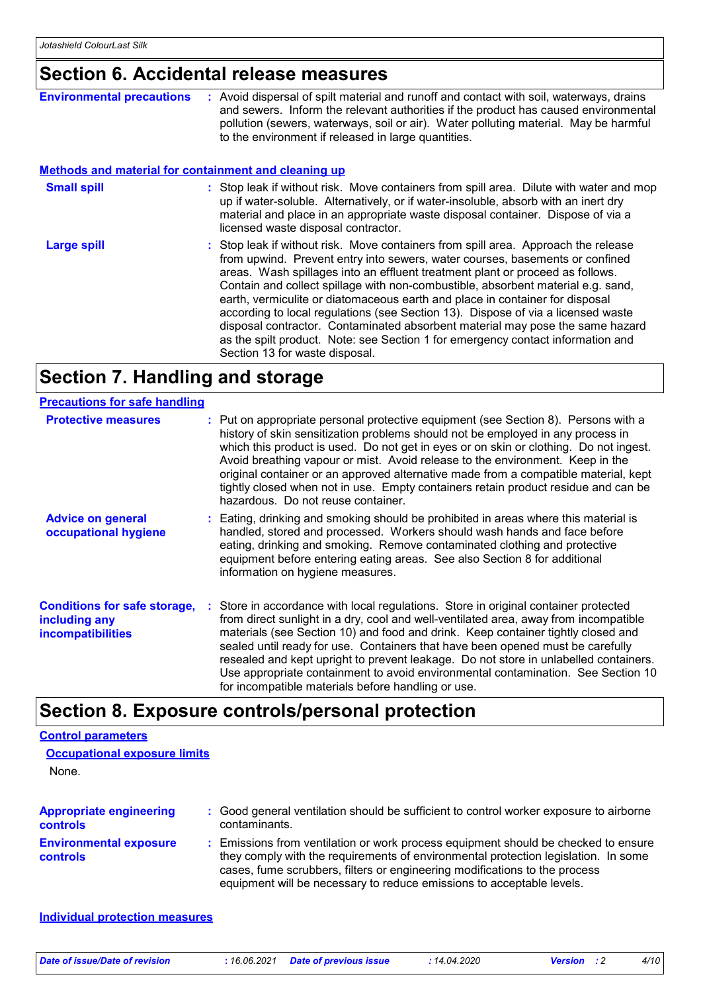### **Section 6. Accidental release measures**

| <b>Environmental precautions</b>                            | : Avoid dispersal of spilt material and runoff and contact with soil, waterways, drains<br>and sewers. Inform the relevant authorities if the product has caused environmental<br>pollution (sewers, waterways, soil or air). Water polluting material. May be harmful<br>to the environment if released in large quantities.                                                                                                                                                                                                                                                                                                                                                                                     |
|-------------------------------------------------------------|-------------------------------------------------------------------------------------------------------------------------------------------------------------------------------------------------------------------------------------------------------------------------------------------------------------------------------------------------------------------------------------------------------------------------------------------------------------------------------------------------------------------------------------------------------------------------------------------------------------------------------------------------------------------------------------------------------------------|
| <b>Methods and material for containment and cleaning up</b> |                                                                                                                                                                                                                                                                                                                                                                                                                                                                                                                                                                                                                                                                                                                   |
| <b>Small spill</b>                                          | : Stop leak if without risk. Move containers from spill area. Dilute with water and mop<br>up if water-soluble. Alternatively, or if water-insoluble, absorb with an inert dry<br>material and place in an appropriate waste disposal container. Dispose of via a<br>licensed waste disposal contractor.                                                                                                                                                                                                                                                                                                                                                                                                          |
| Large spill                                                 | : Stop leak if without risk. Move containers from spill area. Approach the release<br>from upwind. Prevent entry into sewers, water courses, basements or confined<br>areas. Wash spillages into an effluent treatment plant or proceed as follows.<br>Contain and collect spillage with non-combustible, absorbent material e.g. sand,<br>earth, vermiculite or diatomaceous earth and place in container for disposal<br>according to local regulations (see Section 13). Dispose of via a licensed waste<br>disposal contractor. Contaminated absorbent material may pose the same hazard<br>as the spilt product. Note: see Section 1 for emergency contact information and<br>Section 13 for waste disposal. |

### **Section 7. Handling and storage**

#### **Advice on general occupational hygiene Conditions for safe storage, : Store in accordance with local regulations. Store in original container protected including any incompatibilities** Eating, drinking and smoking should be prohibited in areas where this material is **:** handled, stored and processed. Workers should wash hands and face before eating, drinking and smoking. Remove contaminated clothing and protective equipment before entering eating areas. See also Section 8 for additional information on hygiene measures. from direct sunlight in a dry, cool and well-ventilated area, away from incompatible materials (see Section 10) and food and drink. Keep container tightly closed and sealed until ready for use. Containers that have been opened must be carefully resealed and kept upright to prevent leakage. Do not store in unlabelled containers. Use appropriate containment to avoid environmental contamination. See Section 10 for incompatible materials before handling or use. **Protective measures** : Put on appropriate personal protective equipment (see Section 8). Persons with a **Protestion** history of skin sensitization problems should not be employed in any process in which this product is used. Do not get in eyes or on skin or clothing. Do not ingest. Avoid breathing vapour or mist. Avoid release to the environment. Keep in the original container or an approved alternative made from a compatible material, kept tightly closed when not in use. Empty containers retain product residue and can be hazardous. Do not reuse container. **Precautions for safe handling**

### **Section 8. Exposure controls/personal protection**

| <b>Control parameters</b><br><b>Occupational exposure limits</b><br>None. |                                                                                                                                                                                                                                                                                                                                 |
|---------------------------------------------------------------------------|---------------------------------------------------------------------------------------------------------------------------------------------------------------------------------------------------------------------------------------------------------------------------------------------------------------------------------|
| <b>Appropriate engineering</b><br><b>controls</b>                         | : Good general ventilation should be sufficient to control worker exposure to airborne<br>contaminants.                                                                                                                                                                                                                         |
| <b>Environmental exposure</b><br>controls                                 | : Emissions from ventilation or work process equipment should be checked to ensure<br>they comply with the requirements of environmental protection legislation. In some<br>cases, fume scrubbers, filters or engineering modifications to the process<br>equipment will be necessary to reduce emissions to acceptable levels. |
| Individual protection measures                                            |                                                                                                                                                                                                                                                                                                                                 |

*Date of issue/Date of revision* **:** *16.06.2021 Date of previous issue : 14.04.2020 Version : 2 4/10*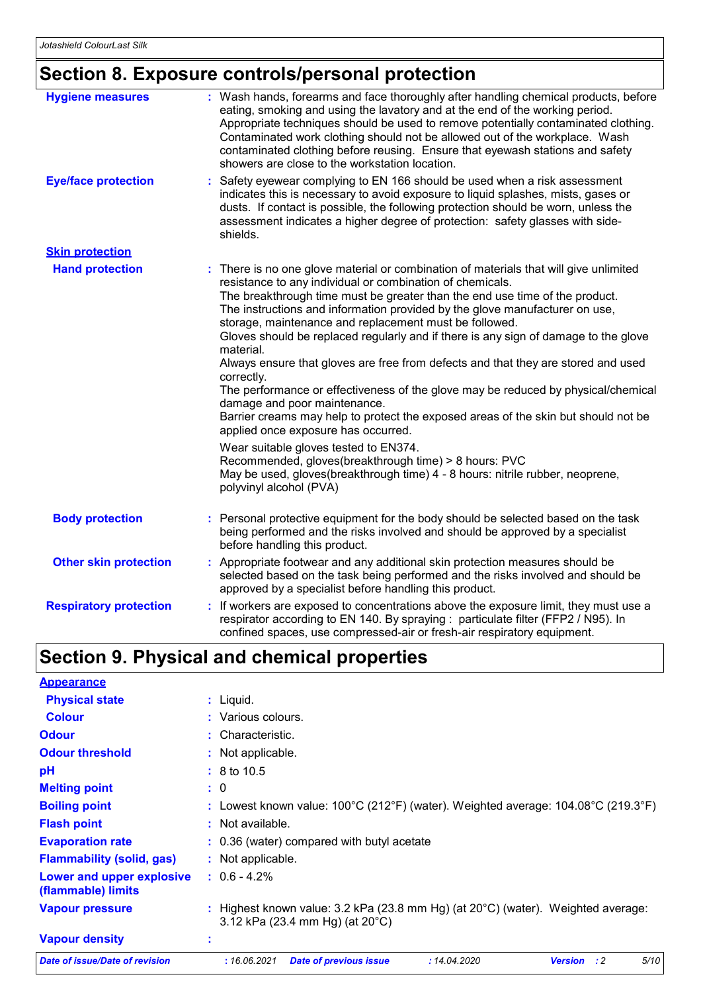# **Section 8. Exposure controls/personal protection**

| <b>Hygiene measures</b>       | : Wash hands, forearms and face thoroughly after handling chemical products, before<br>eating, smoking and using the lavatory and at the end of the working period.<br>Appropriate techniques should be used to remove potentially contaminated clothing.<br>Contaminated work clothing should not be allowed out of the workplace. Wash<br>contaminated clothing before reusing. Ensure that eyewash stations and safety<br>showers are close to the workstation location.                                                                                                                                                                                                                                                                                                                                                                                                                                                                                                                                                                       |
|-------------------------------|---------------------------------------------------------------------------------------------------------------------------------------------------------------------------------------------------------------------------------------------------------------------------------------------------------------------------------------------------------------------------------------------------------------------------------------------------------------------------------------------------------------------------------------------------------------------------------------------------------------------------------------------------------------------------------------------------------------------------------------------------------------------------------------------------------------------------------------------------------------------------------------------------------------------------------------------------------------------------------------------------------------------------------------------------|
| <b>Eye/face protection</b>    | Safety eyewear complying to EN 166 should be used when a risk assessment<br>indicates this is necessary to avoid exposure to liquid splashes, mists, gases or<br>dusts. If contact is possible, the following protection should be worn, unless the<br>assessment indicates a higher degree of protection: safety glasses with side-<br>shields.                                                                                                                                                                                                                                                                                                                                                                                                                                                                                                                                                                                                                                                                                                  |
| <b>Skin protection</b>        |                                                                                                                                                                                                                                                                                                                                                                                                                                                                                                                                                                                                                                                                                                                                                                                                                                                                                                                                                                                                                                                   |
| <b>Hand protection</b>        | : There is no one glove material or combination of materials that will give unlimited<br>resistance to any individual or combination of chemicals.<br>The breakthrough time must be greater than the end use time of the product.<br>The instructions and information provided by the glove manufacturer on use,<br>storage, maintenance and replacement must be followed.<br>Gloves should be replaced regularly and if there is any sign of damage to the glove<br>material.<br>Always ensure that gloves are free from defects and that they are stored and used<br>correctly.<br>The performance or effectiveness of the glove may be reduced by physical/chemical<br>damage and poor maintenance.<br>Barrier creams may help to protect the exposed areas of the skin but should not be<br>applied once exposure has occurred.<br>Wear suitable gloves tested to EN374.<br>Recommended, gloves(breakthrough time) > 8 hours: PVC<br>May be used, gloves(breakthrough time) 4 - 8 hours: nitrile rubber, neoprene,<br>polyvinyl alcohol (PVA) |
| <b>Body protection</b>        | : Personal protective equipment for the body should be selected based on the task<br>being performed and the risks involved and should be approved by a specialist<br>before handling this product.                                                                                                                                                                                                                                                                                                                                                                                                                                                                                                                                                                                                                                                                                                                                                                                                                                               |
| <b>Other skin protection</b>  | : Appropriate footwear and any additional skin protection measures should be<br>selected based on the task being performed and the risks involved and should be<br>approved by a specialist before handling this product.                                                                                                                                                                                                                                                                                                                                                                                                                                                                                                                                                                                                                                                                                                                                                                                                                         |
| <b>Respiratory protection</b> | : If workers are exposed to concentrations above the exposure limit, they must use a<br>respirator according to EN 140. By spraying : particulate filter (FFP2 / N95). In<br>confined spaces, use compressed-air or fresh-air respiratory equipment.                                                                                                                                                                                                                                                                                                                                                                                                                                                                                                                                                                                                                                                                                                                                                                                              |

# **Section 9. Physical and chemical properties**

| <b>Appearance</b>                               |                                                                                                                                 |  |  |  |
|-------------------------------------------------|---------------------------------------------------------------------------------------------------------------------------------|--|--|--|
| <b>Physical state</b>                           | : Liquid.                                                                                                                       |  |  |  |
| <b>Colour</b>                                   | : Various colours.                                                                                                              |  |  |  |
| <b>Odour</b>                                    | $:$ Characteristic.                                                                                                             |  |  |  |
| <b>Odour threshold</b>                          | : Not applicable.                                                                                                               |  |  |  |
| pH                                              | $: 8 \text{ to } 10.5$                                                                                                          |  |  |  |
| <b>Melting point</b>                            | : 0                                                                                                                             |  |  |  |
| <b>Boiling point</b>                            | : Lowest known value: $100^{\circ}$ C (212°F) (water). Weighted average: $104.08^{\circ}$ C (219.3°F)                           |  |  |  |
| <b>Flash point</b>                              | : Not available.                                                                                                                |  |  |  |
| <b>Evaporation rate</b>                         | : 0.36 (water) compared with butyl acetate                                                                                      |  |  |  |
| <b>Flammability (solid, gas)</b>                | : Not applicable.                                                                                                               |  |  |  |
| Lower and upper explosive<br>(flammable) limits | $: 0.6 - 4.2\%$                                                                                                                 |  |  |  |
| <b>Vapour pressure</b>                          | : Highest known value: $3.2$ kPa (23.8 mm Hg) (at $20^{\circ}$ C) (water). Weighted average:<br>3.12 kPa (23.4 mm Hg) (at 20°C) |  |  |  |
| <b>Vapour density</b>                           |                                                                                                                                 |  |  |  |
| Date of issue/Date of revision                  | 5/10<br>: 16.06.2021<br><b>Date of previous issue</b><br>: 14.04.2020<br><b>Version</b><br>$\cdot$ :2                           |  |  |  |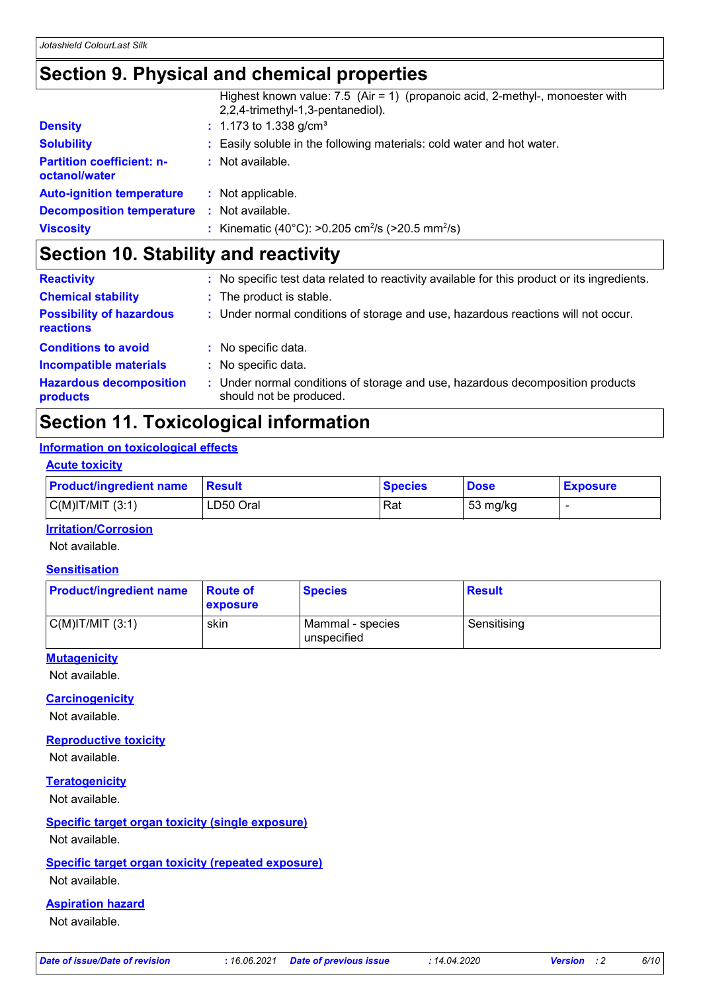### **Section 9. Physical and chemical properties**

|                                                   | Highest known value: 7.5 (Air = 1) (propanoic acid, 2-methyl-, monoester with<br>2,2,4-trimethyl-1,3-pentanediol). |
|---------------------------------------------------|--------------------------------------------------------------------------------------------------------------------|
| <b>Density</b>                                    | $: 1.173$ to 1.338 g/cm <sup>3</sup>                                                                               |
| <b>Solubility</b>                                 | : Easily soluble in the following materials: cold water and hot water.                                             |
| <b>Partition coefficient: n-</b><br>octanol/water | : Not available.                                                                                                   |
| <b>Auto-ignition temperature</b>                  | : Not applicable.                                                                                                  |
| <b>Decomposition temperature :</b> Not available. |                                                                                                                    |
| <b>Viscosity</b>                                  | : Kinematic (40°C): >0.205 cm <sup>2</sup> /s (>20.5 mm <sup>2</sup> /s)                                           |

## **Section 10. Stability and reactivity**

| <b>Reactivity</b>                            |    | : No specific test data related to reactivity available for this product or its ingredients.            |
|----------------------------------------------|----|---------------------------------------------------------------------------------------------------------|
| <b>Chemical stability</b>                    |    | : The product is stable.                                                                                |
| <b>Possibility of hazardous</b><br>reactions |    | : Under normal conditions of storage and use, hazardous reactions will not occur.                       |
| <b>Conditions to avoid</b>                   |    | : No specific data.                                                                                     |
| <b>Incompatible materials</b>                |    | : No specific data.                                                                                     |
| <b>Hazardous decomposition</b><br>products   | ÷. | Under normal conditions of storage and use, hazardous decomposition products<br>should not be produced. |

### **Section 11. Toxicological information**

### **Information on toxicological effects**

#### **Acute toxicity**

| <b>Product/ingredient name</b> | <b>Result</b> | <b>Species</b> | <b>Dose</b> | <b>Exposure</b> |
|--------------------------------|---------------|----------------|-------------|-----------------|
| $C(M)$ IT/MIT $(3:1)$          | LD50 Oral     | Rat            | 53 mg/kg    |                 |

#### **Irritation/Corrosion**

Not available.

### **Sensitisation**

| <b>Product/ingredient name</b> | <b>Route of</b><br><b>exposure</b> | <b>Species</b>                  | Result      |
|--------------------------------|------------------------------------|---------------------------------|-------------|
| $C(M)$ IT/MIT $(3:1)$          | skin                               | Mammal - species<br>unspecified | Sensitising |

### **Mutagenicity**

Not available.

#### **Carcinogenicity**

Not available.

### **Reproductive toxicity**

Not available.

### **Teratogenicity**

Not available.

### **Specific target organ toxicity (single exposure)**

Not available.

#### **Specific target organ toxicity (repeated exposure)**

Not available.

### **Aspiration hazard**

Not available.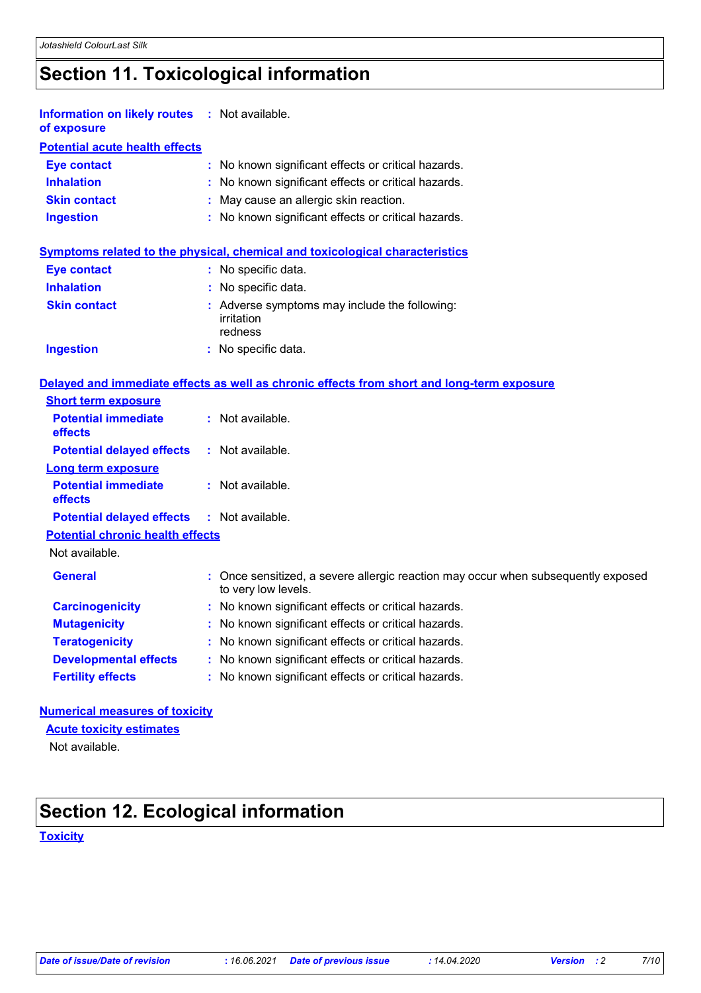# **Section 11. Toxicological information**

| <b>Information on likely routes</b><br>of exposure | : Not available.                                                                                         |  |  |  |  |
|----------------------------------------------------|----------------------------------------------------------------------------------------------------------|--|--|--|--|
| <b>Potential acute health effects</b>              |                                                                                                          |  |  |  |  |
| <b>Eye contact</b>                                 | : No known significant effects or critical hazards.                                                      |  |  |  |  |
| <b>Inhalation</b>                                  | : No known significant effects or critical hazards.                                                      |  |  |  |  |
| <b>Skin contact</b>                                | : May cause an allergic skin reaction.                                                                   |  |  |  |  |
| <b>Ingestion</b>                                   | : No known significant effects or critical hazards.                                                      |  |  |  |  |
|                                                    | <b>Symptoms related to the physical, chemical and toxicological characteristics</b>                      |  |  |  |  |
| <b>Eye contact</b>                                 | : No specific data.                                                                                      |  |  |  |  |
| <b>Inhalation</b>                                  | : No specific data.                                                                                      |  |  |  |  |
| <b>Skin contact</b>                                | : Adverse symptoms may include the following:<br>irritation<br>redness                                   |  |  |  |  |
| <b>Ingestion</b>                                   | : No specific data.                                                                                      |  |  |  |  |
|                                                    | Delayed and immediate effects as well as chronic effects from short and long-term exposure               |  |  |  |  |
| <b>Short term exposure</b>                         |                                                                                                          |  |  |  |  |
| <b>Potential immediate</b><br>effects              | : Not available.                                                                                         |  |  |  |  |
| <b>Potential delayed effects</b>                   | : Not available.                                                                                         |  |  |  |  |
| <b>Long term exposure</b>                          |                                                                                                          |  |  |  |  |
| <b>Potential immediate</b><br>effects              | : Not available.                                                                                         |  |  |  |  |
| <b>Potential delayed effects</b>                   | : Not available.                                                                                         |  |  |  |  |
| <b>Potential chronic health effects</b>            |                                                                                                          |  |  |  |  |
| Not available.                                     |                                                                                                          |  |  |  |  |
| <b>General</b>                                     | : Once sensitized, a severe allergic reaction may occur when subsequently exposed<br>to very low levels. |  |  |  |  |
| <b>Carcinogenicity</b>                             | : No known significant effects or critical hazards.                                                      |  |  |  |  |
| <b>Mutagenicity</b>                                | No known significant effects or critical hazards.                                                        |  |  |  |  |
| <b>Teratogenicity</b>                              | : No known significant effects or critical hazards.                                                      |  |  |  |  |
| <b>Developmental effects</b>                       | : No known significant effects or critical hazards.                                                      |  |  |  |  |
| <b>Fertility effects</b>                           | : No known significant effects or critical hazards.                                                      |  |  |  |  |
| <b>Numerical measures of toxicity</b>              |                                                                                                          |  |  |  |  |

### **Acute toxicity estimates**

Not available.

# **Section 12. Ecological information**

**Toxicity**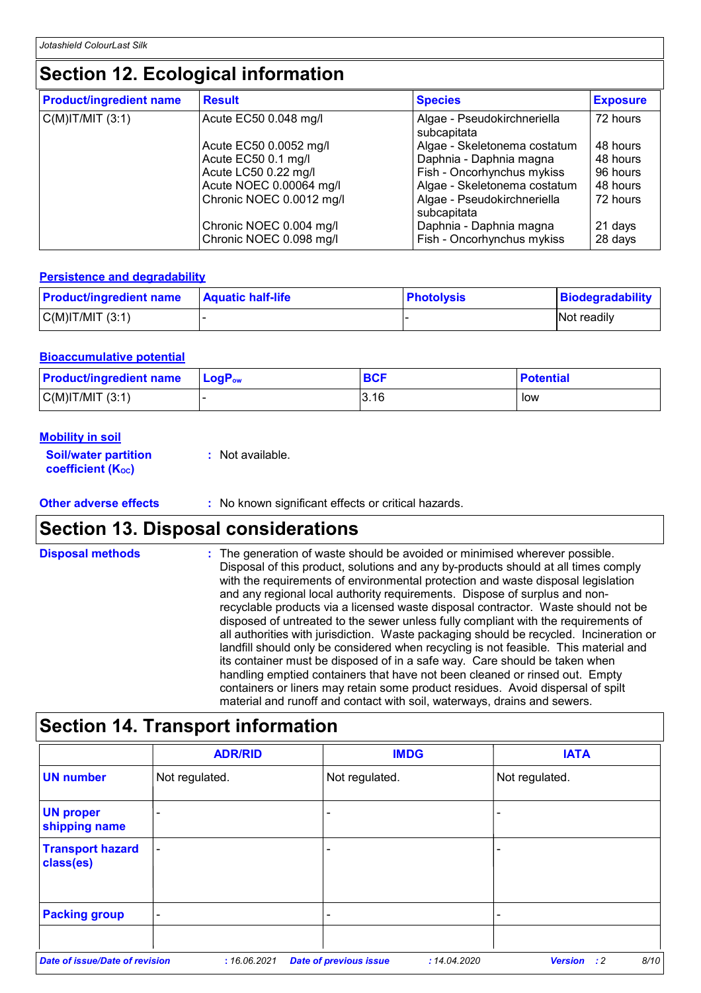# **Section 12. Ecological information**

| <b>Product/ingredient name</b> | <b>Result</b>                                      | <b>Species</b>                                        | <b>Exposure</b>    |
|--------------------------------|----------------------------------------------------|-------------------------------------------------------|--------------------|
| $C(M)$ IT/MIT $(3:1)$          | Acute EC50 0.048 mg/l                              | Algae - Pseudokirchneriella<br>subcapitata            | 72 hours           |
|                                | Acute EC50 0.0052 mg/l                             | Algae - Skeletonema costatum                          | 48 hours           |
|                                | Acute EC50 0.1 mg/l                                | Daphnia - Daphnia magna                               | 48 hours           |
|                                | Acute LC50 0.22 mg/l                               | Fish - Oncorhynchus mykiss                            | 96 hours           |
|                                | Acute NOEC 0.00064 mg/l                            | Algae - Skeletonema costatum                          | 48 hours           |
|                                | Chronic NOEC 0.0012 mg/l                           | Algae - Pseudokirchneriella<br>subcapitata            | 72 hours           |
|                                | Chronic NOEC 0.004 mg/l<br>Chronic NOEC 0.098 mg/l | Daphnia - Daphnia magna<br>Fish - Oncorhynchus mykiss | 21 days<br>28 days |

#### **Persistence and degradability**

| <b>Product/ingredient name</b> | <b>Aquatic half-life</b> | <b>Photolysis</b> | Biodegradability   |
|--------------------------------|--------------------------|-------------------|--------------------|
| $C(M)$ IT/MIT $(3:1)$          |                          |                   | <b>Not readily</b> |

#### **Bioaccumulative potential**

| <b>Product/ingredient name</b> | $\mathsf{LogP}_\mathsf{ow}$ | <b>BCF</b> | <b>Potential</b> |
|--------------------------------|-----------------------------|------------|------------------|
| C(M) T/MIT (3:1)               |                             | 3.16       | low              |

| <b>Mobility in soil</b>                                 |                  |
|---------------------------------------------------------|------------------|
| <b>Soil/water partition</b><br><b>coefficient (Koc)</b> | : Not available. |

### **Other adverse effects** : No known significant effects or critical hazards.

### **Section 13. Disposal considerations**

| <b>Disposal methods</b> | : The generation of waste should be avoided or minimised wherever possible.<br>Disposal of this product, solutions and any by-products should at all times comply<br>with the requirements of environmental protection and waste disposal legislation<br>and any regional local authority requirements. Dispose of surplus and non-<br>recyclable products via a licensed waste disposal contractor. Waste should not be<br>disposed of untreated to the sewer unless fully compliant with the requirements of<br>all authorities with jurisdiction. Waste packaging should be recycled. Incineration or<br>landfill should only be considered when recycling is not feasible. This material and<br>its container must be disposed of in a safe way. Care should be taken when<br>handling emptied containers that have not been cleaned or rinsed out. Empty<br>containers or liners may retain some product residues. Avoid dispersal of spilt |
|-------------------------|--------------------------------------------------------------------------------------------------------------------------------------------------------------------------------------------------------------------------------------------------------------------------------------------------------------------------------------------------------------------------------------------------------------------------------------------------------------------------------------------------------------------------------------------------------------------------------------------------------------------------------------------------------------------------------------------------------------------------------------------------------------------------------------------------------------------------------------------------------------------------------------------------------------------------------------------------|
|                         | material and runoff and contact with soil, waterways, drains and sewers.                                                                                                                                                                                                                                                                                                                                                                                                                                                                                                                                                                                                                                                                                                                                                                                                                                                                         |

# **Section 14. Transport information**

|                                      | <b>ADR/RID</b>           | <b>IMDG</b>                                   | <b>IATA</b>                           |
|--------------------------------------|--------------------------|-----------------------------------------------|---------------------------------------|
| <b>UN number</b>                     | Not regulated.           | Not regulated.                                | Not regulated.                        |
| <b>UN proper</b><br>shipping name    | $\overline{\phantom{0}}$ |                                               | -                                     |
| <b>Transport hazard</b><br>class(es) |                          | ۰                                             |                                       |
| <b>Packing group</b>                 | $\overline{\phantom{a}}$ |                                               |                                       |
|                                      |                          |                                               |                                       |
| Date of issue/Date of revision       | : 16.06.2021             | <b>Date of previous issue</b><br>: 14.04.2020 | 8/10<br><b>Version</b><br>$\cdot$ : 2 |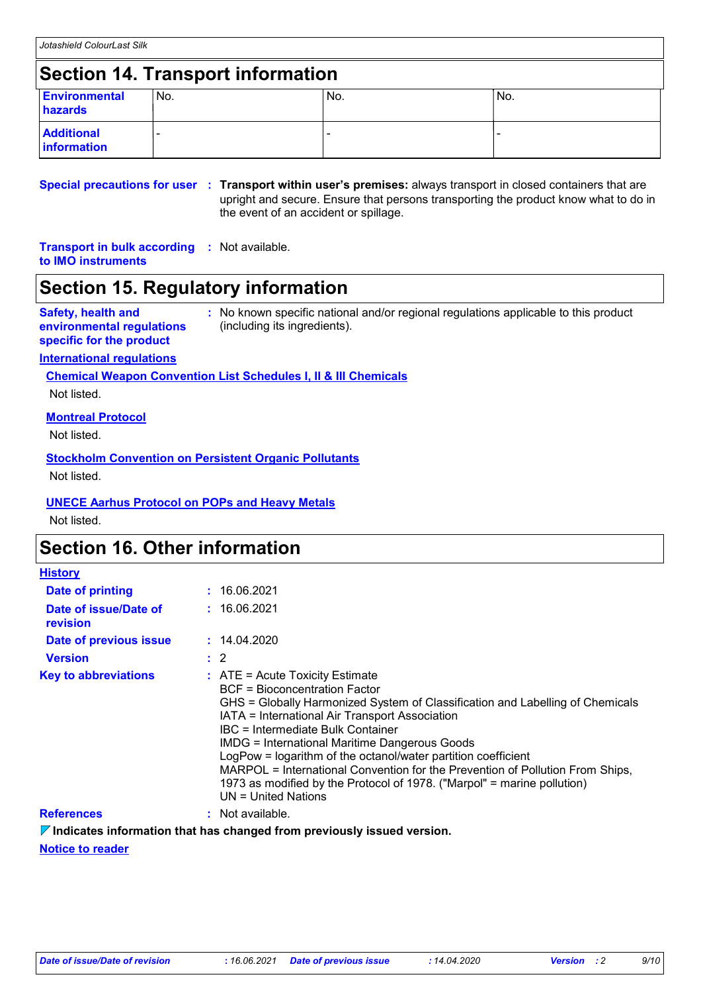### **Section 14. Transport information**

| <b>Environmental</b><br>hazards  | 'No. | No. | 'No. |
|----------------------------------|------|-----|------|
| <b>Additional</b><br>information |      |     |      |

**Special precautions for user Transport within user's premises:** always transport in closed containers that are **:** upright and secure. Ensure that persons transporting the product know what to do in the event of an accident or spillage.

#### **Transport in bulk according :** Not available. **to IMO instruments**

### **Section 15. Regulatory information**

#### **Safety, health and environmental regulations specific for the product**

**:** No known specific national and/or regional regulations applicable to this product (including its ingredients).

### **International regulations**

**Chemical Weapon Convention List Schedules I, II & III Chemicals**

Not listed.

### **Montreal Protocol**

Not listed.

#### **Stockholm Convention on Persistent Organic Pollutants** Not listed.

### **UNECE Aarhus Protocol on POPs and Heavy Metals**

Not listed.

### **Section 16. Other information**

| <b>History</b>                    |                                                                                                                                                                                                                                                                                                                                                                                                                                                                                                                                                                          |  |
|-----------------------------------|--------------------------------------------------------------------------------------------------------------------------------------------------------------------------------------------------------------------------------------------------------------------------------------------------------------------------------------------------------------------------------------------------------------------------------------------------------------------------------------------------------------------------------------------------------------------------|--|
| <b>Date of printing</b>           | : 16.06.2021                                                                                                                                                                                                                                                                                                                                                                                                                                                                                                                                                             |  |
| Date of issue/Date of<br>revision | : 16.06.2021                                                                                                                                                                                                                                                                                                                                                                                                                                                                                                                                                             |  |
| Date of previous issue            | : 14.04.2020                                                                                                                                                                                                                                                                                                                                                                                                                                                                                                                                                             |  |
| <b>Version</b>                    | $\therefore$ 2                                                                                                                                                                                                                                                                                                                                                                                                                                                                                                                                                           |  |
| <b>Key to abbreviations</b>       | $\therefore$ ATE = Acute Toxicity Estimate<br><b>BCF</b> = Bioconcentration Factor<br>GHS = Globally Harmonized System of Classification and Labelling of Chemicals<br>IATA = International Air Transport Association<br>IBC = Intermediate Bulk Container<br><b>IMDG = International Maritime Dangerous Goods</b><br>LogPow = logarithm of the octanol/water partition coefficient<br>MARPOL = International Convention for the Prevention of Pollution From Ships,<br>1973 as modified by the Protocol of 1978. ("Marpol" = marine pollution)<br>$UN = United Nations$ |  |
| <b>References</b>                 | : Not available.                                                                                                                                                                                                                                                                                                                                                                                                                                                                                                                                                         |  |

**Indicates information that has changed from previously issued version.**

**Notice to reader**